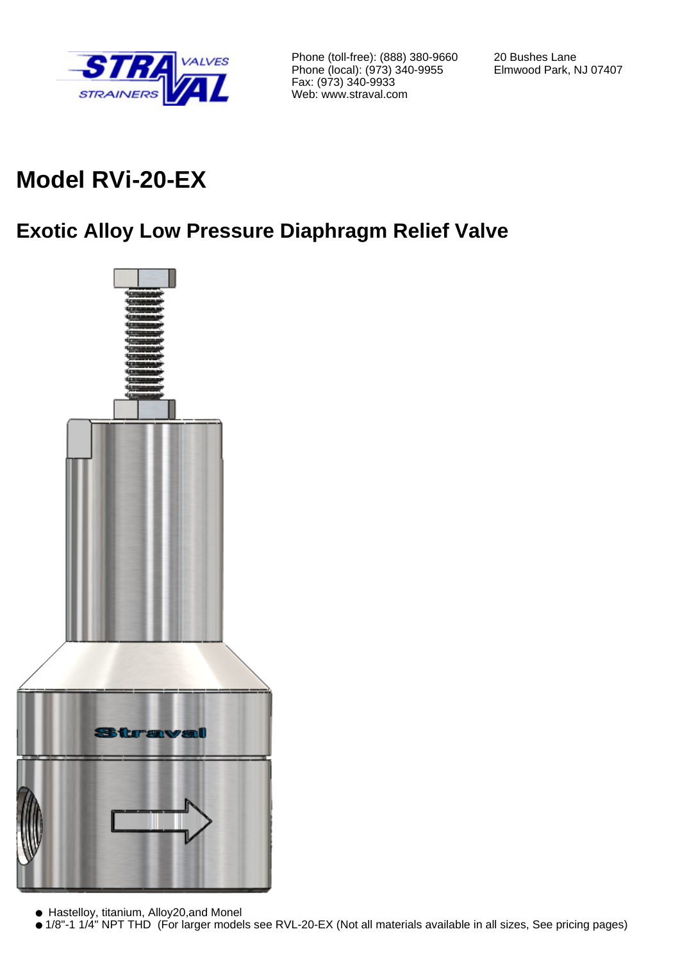

Phone (toll-free): (888) 380-9660 Phone (local): (973) 340-9955 Fax: (973) 340-9933 Web: www.straval.com

20 Bushes Lane Elmwood Park, NJ 07407

# **Model RVi-20-EX**

## **Exotic Alloy Low Pressure Diaphragm Relief Valve**



● Hastelloy, titanium, Alloy20,and Monel

<sup>● 1/8&</sup>quot;-1 1/4" NPT THD (For larger models see RVL-20-EX (Not all materials available in all sizes, See pricing pages)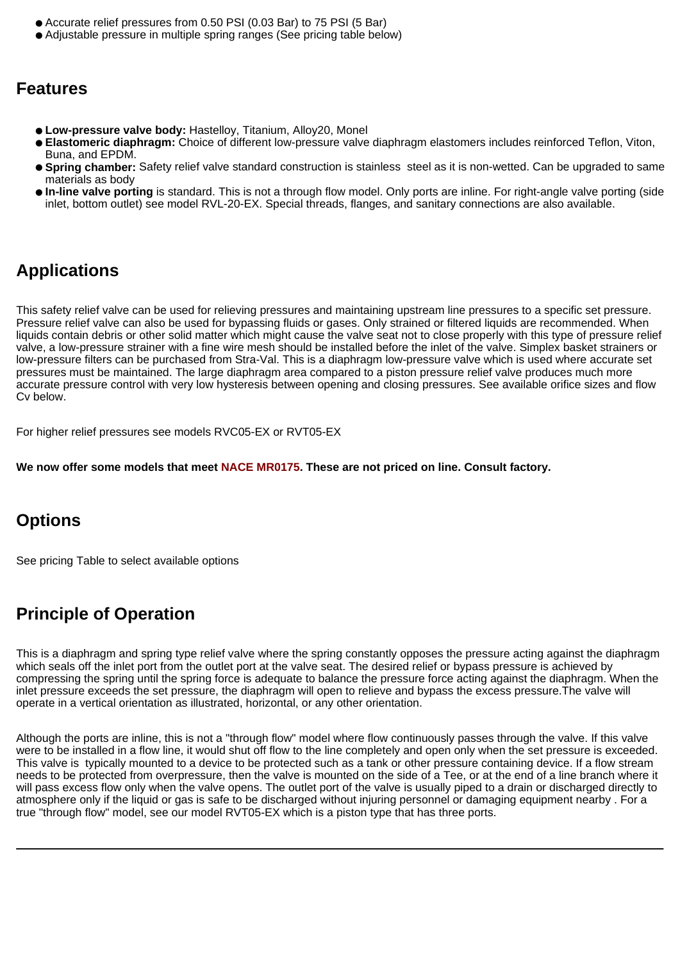- Accurate relief pressures from 0.50 PSI (0.03 Bar) to 75 PSI (5 Bar)
- Adjustable pressure in multiple spring ranges (See pricing table below)

### **Features**

- **Low-pressure valve body:** Hastelloy, Titanium, Alloy20, Monel
- **Elastomeric diaphragm:** Choice of different low-pressure valve diaphragm elastomers includes reinforced Teflon, Viton, Buna, and EPDM.
- **Spring chamber:** Safety relief valve standard construction is stainless steel as it is non-wetted. Can be upgraded to same materials as body
- **In-line valve porting** is standard. This is not a through flow model. Only ports are inline. For right-angle valve porting (side inlet, bottom outlet) see model RVL-20-EX. Special threads, flanges, and sanitary connections are also available.

### **Applications**

This safety relief valve can be used for relieving pressures and maintaining upstream line pressures to a specific set pressure. Pressure relief valve can also be used for bypassing fluids or gases. Only strained or filtered liquids are recommended. When liquids contain debris or other solid matter which might cause the valve seat not to close properly with this type of pressure relief valve, a low-pressure strainer with a fine wire mesh should be installed before the inlet of the valve. Simplex basket strainers or low-pressure filters can be purchased from Stra-Val. This is a diaphragm low-pressure valve which is used where accurate set pressures must be maintained. The large diaphragm area compared to a piston pressure relief valve produces much more accurate pressure control with very low hysteresis between opening and closing pressures. See available orifice sizes and flow Cv below.

For higher relief pressures see models RVC05-EX or RVT05-EX

**We now offer some models that meet NACE MR0175. These are not priced on line. Consult factory.**

### **Options**

See pricing Table to select available options

### **Principle of Operation**

This is a diaphragm and spring type relief valve where the spring constantly opposes the pressure acting against the diaphragm which seals off the inlet port from the outlet port at the valve seat. The desired relief or bypass pressure is achieved by compressing the spring until the spring force is adequate to balance the pressure force acting against the diaphragm. When the inlet pressure exceeds the set pressure, the diaphragm will open to relieve and bypass the excess pressure.The valve will operate in a vertical orientation as illustrated, horizontal, or any other orientation.

Although the ports are inline, this is not a "through flow" model where flow continuously passes through the valve. If this valve were to be installed in a flow line, it would shut off flow to the line completely and open only when the set pressure is exceeded. This valve is typically mounted to a device to be protected such as a tank or other pressure containing device. If a flow stream needs to be protected from overpressure, then the valve is mounted on the side of a Tee, or at the end of a line branch where it will pass excess flow only when the valve opens. The outlet port of the valve is usually piped to a drain or discharged directly to atmosphere only if the liquid or gas is safe to be discharged without injuring personnel or damaging equipment nearby . For a true "through flow" model, see our model RVT05-EX which is a piston type that has three ports.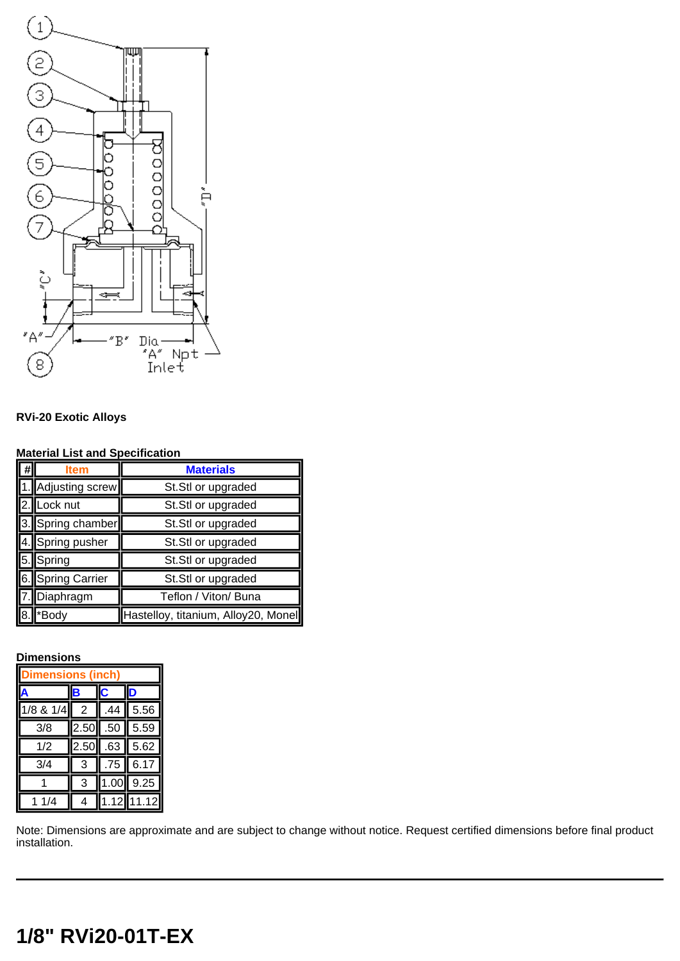

### **RVi-20 Exotic Alloys**

#### **Material List and Specification**

|                            | ltem              | <b>Materials</b>                    |  |  |
|----------------------------|-------------------|-------------------------------------|--|--|
|                            | Adjusting screw   | St.Stl or upgraded                  |  |  |
|                            | Lock nut          | St.Stl or upgraded                  |  |  |
|                            | 3. Spring chamber | St.Stl or upgraded                  |  |  |
|                            | 4. Spring pusher  | St.Stl or upgraded                  |  |  |
| <b>II</b> 5.               | Spring            | St.Stl or upgraded                  |  |  |
| $\overline{\mathsf{I6}}$ . | Spring Carrier    | St.Stl or upgraded                  |  |  |
|                            | Diaphragm         | Teflon / Viton/ Buna                |  |  |
|                            | *Body             | Hastelloy, titanium, Alloy20, Monel |  |  |

#### **Dimensions**

| ensions (inch) |      |      |       |  |  |
|----------------|------|------|-------|--|--|
|                |      |      |       |  |  |
| 1/8 & 1/4      | 2    | 44   | 5.56  |  |  |
| 3/8            | 2.50 | .50  | 5.59  |  |  |
| 1/2            | 2.50 | .63  | 5.62  |  |  |
| 3/4            | 3    | .75  | 6.17  |  |  |
|                | 3    | 1.00 | 9.25  |  |  |
| 1/4            |      | .12  | 11.12 |  |  |

Note: Dimensions are approximate and are subject to change without notice. Request certified dimensions before final product installation.

## **1/8" RVi20-01T-EX**